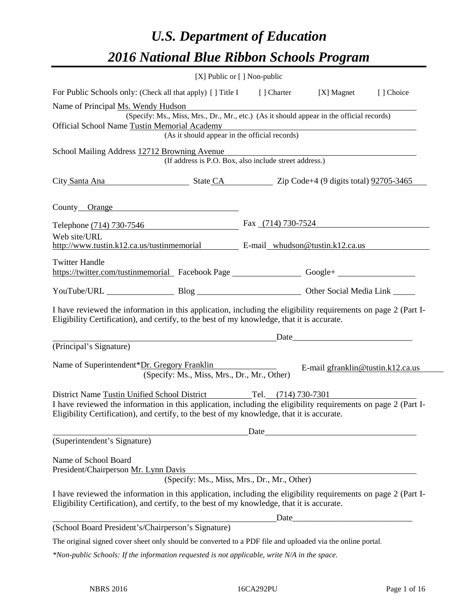# *U.S. Department of Education 2016 National Blue Ribbon Schools Program*

|                                                                                                                                                                                                              | $[X]$ Public or $[ \ ]$ Non-public |                                   |           |
|--------------------------------------------------------------------------------------------------------------------------------------------------------------------------------------------------------------|------------------------------------|-----------------------------------|-----------|
| For Public Schools only: (Check all that apply) [] Title I [] Charter [X] Magnet                                                                                                                             |                                    |                                   | [] Choice |
| Name of Principal Ms. Wendy Hudson                                                                                                                                                                           |                                    |                                   |           |
| (Specify: Ms., Miss, Mrs., Dr., Mr., etc.) (As it should appear in the official records)                                                                                                                     |                                    |                                   |           |
| Official School Name Tustin Memorial Academy<br>emorial Academy<br>(As it should appear in the official records)                                                                                             |                                    |                                   |           |
|                                                                                                                                                                                                              |                                    |                                   |           |
| School Mailing Address 12712 Browning Avenue<br>Browning Avenue<br>(If address is P.O. Box, also include street address.)                                                                                    |                                    |                                   |           |
| City Santa Ana State CA Zip Code+4 (9 digits total) 92705-3465                                                                                                                                               |                                    |                                   |           |
| County Orange                                                                                                                                                                                                |                                    |                                   |           |
| Telephone (714) 730-7546 Fax (714) 730-7524                                                                                                                                                                  |                                    |                                   |           |
| Web site/URL<br>http://www.tustin.k12.ca.us/tustinmemorial E-mail_whudson@tustin.k12.ca.us                                                                                                                   |                                    |                                   |           |
| <b>Twitter Handle</b><br>https://twitter.com/tustinmemorial Facebook Page _______________________Google+ ____________________                                                                                |                                    |                                   |           |
| YouTube/URL Blog Blog Other Social Media Link                                                                                                                                                                |                                    |                                   |           |
| I have reviewed the information in this application, including the eligibility requirements on page 2 (Part I-<br>Eligibility Certification), and certify, to the best of my knowledge, that it is accurate. |                                    |                                   |           |
| <u>Date</u> <u>Date</u> <i>Date Date Date Date Date Date Date Date Date Date Date Date Date Date Date Date Date Date Date Date Date Date Date Date Date Date Date Date Date Date</i>                         |                                    |                                   |           |
| (Principal's Signature)                                                                                                                                                                                      |                                    |                                   |           |
| Name of Superintendent*Dr. Gregory Franklin<br>(Specify: Ms., Miss, Mrs., Dr., Mr., Other)                                                                                                                   |                                    | E-mail gfranklin@tustin.k12.ca.us |           |
| District Name Tustin Unified School District Tel. (714) 730-7301                                                                                                                                             |                                    |                                   |           |
| I have reviewed the information in this application, including the eligibility requirements on page 2 (Part I-<br>Eligibility Certification), and certify, to the best of my knowledge, that it is accurate. |                                    |                                   |           |
|                                                                                                                                                                                                              | Date                               |                                   |           |
| (Superintendent's Signature)                                                                                                                                                                                 |                                    |                                   |           |
| Name of School Board<br>President/Chairperson Mr. Lynn Davis<br>(Specify: Ms., Miss, Mrs., Dr., Mr., Other)                                                                                                  |                                    |                                   |           |
| I have reviewed the information in this application, including the eligibility requirements on page 2 (Part I-<br>Eligibility Certification), and certify, to the best of my knowledge, that it is accurate. |                                    |                                   |           |
|                                                                                                                                                                                                              |                                    |                                   |           |
| (School Board President's/Chairperson's Signature)                                                                                                                                                           |                                    |                                   |           |
| The original signed cover sheet only should be converted to a PDF file and uploaded via the online portal.                                                                                                   |                                    |                                   |           |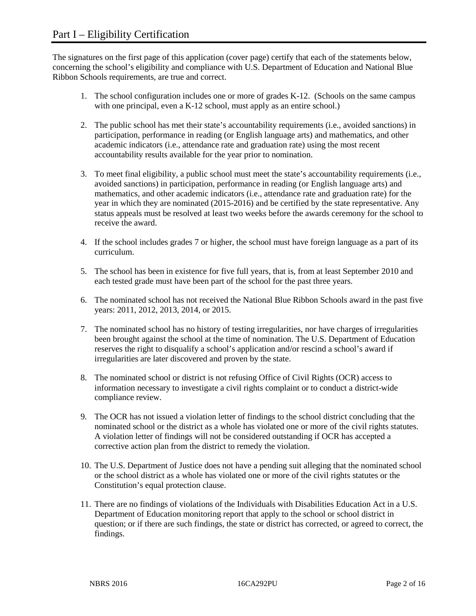The signatures on the first page of this application (cover page) certify that each of the statements below, concerning the school's eligibility and compliance with U.S. Department of Education and National Blue Ribbon Schools requirements, are true and correct.

- 1. The school configuration includes one or more of grades K-12. (Schools on the same campus with one principal, even a K-12 school, must apply as an entire school.)
- 2. The public school has met their state's accountability requirements (i.e., avoided sanctions) in participation, performance in reading (or English language arts) and mathematics, and other academic indicators (i.e., attendance rate and graduation rate) using the most recent accountability results available for the year prior to nomination.
- 3. To meet final eligibility, a public school must meet the state's accountability requirements (i.e., avoided sanctions) in participation, performance in reading (or English language arts) and mathematics, and other academic indicators (i.e., attendance rate and graduation rate) for the year in which they are nominated (2015-2016) and be certified by the state representative. Any status appeals must be resolved at least two weeks before the awards ceremony for the school to receive the award.
- 4. If the school includes grades 7 or higher, the school must have foreign language as a part of its curriculum.
- 5. The school has been in existence for five full years, that is, from at least September 2010 and each tested grade must have been part of the school for the past three years.
- 6. The nominated school has not received the National Blue Ribbon Schools award in the past five years: 2011, 2012, 2013, 2014, or 2015.
- 7. The nominated school has no history of testing irregularities, nor have charges of irregularities been brought against the school at the time of nomination. The U.S. Department of Education reserves the right to disqualify a school's application and/or rescind a school's award if irregularities are later discovered and proven by the state.
- 8. The nominated school or district is not refusing Office of Civil Rights (OCR) access to information necessary to investigate a civil rights complaint or to conduct a district-wide compliance review.
- 9. The OCR has not issued a violation letter of findings to the school district concluding that the nominated school or the district as a whole has violated one or more of the civil rights statutes. A violation letter of findings will not be considered outstanding if OCR has accepted a corrective action plan from the district to remedy the violation.
- 10. The U.S. Department of Justice does not have a pending suit alleging that the nominated school or the school district as a whole has violated one or more of the civil rights statutes or the Constitution's equal protection clause.
- 11. There are no findings of violations of the Individuals with Disabilities Education Act in a U.S. Department of Education monitoring report that apply to the school or school district in question; or if there are such findings, the state or district has corrected, or agreed to correct, the findings.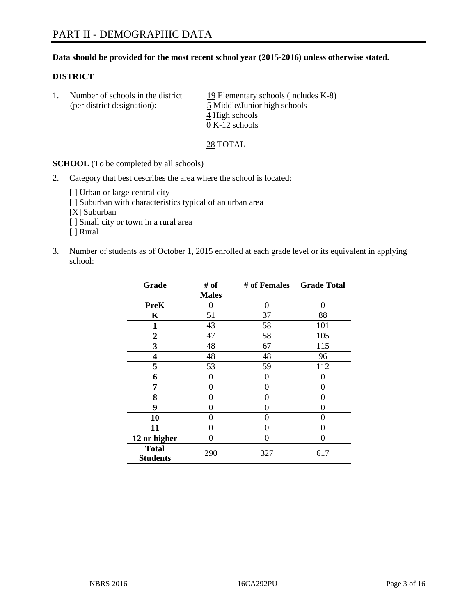### **Data should be provided for the most recent school year (2015-2016) unless otherwise stated.**

### **DISTRICT**

1. Number of schools in the district  $19$  Elementary schools (includes K-8) (per district designation): 5 Middle/Junior high schools 4 High schools 0 K-12 schools

28 TOTAL

**SCHOOL** (To be completed by all schools)

- 2. Category that best describes the area where the school is located:
	- [] Urban or large central city [ ] Suburban with characteristics typical of an urban area [X] Suburban [ ] Small city or town in a rural area [ ] Rural
- 3. Number of students as of October 1, 2015 enrolled at each grade level or its equivalent in applying school:

| Grade                           | # of         | # of Females | <b>Grade Total</b> |
|---------------------------------|--------------|--------------|--------------------|
|                                 | <b>Males</b> |              |                    |
| <b>PreK</b>                     | 0            | 0            | 0                  |
| K                               | 51           | 37           | 88                 |
| 1                               | 43           | 58           | 101                |
| $\overline{2}$                  | 47           | 58           | 105                |
| 3                               | 48           | 67           | 115                |
| 4                               | 48           | 48           | 96                 |
| 5                               | 53           | 59           | 112                |
| 6                               | 0            | 0            | $\mathbf{\Omega}$  |
| 7                               | 0            | 0            | 0                  |
| 8                               | 0            | 0            | 0                  |
| 9                               | 0            | 0            | 0                  |
| 10                              | 0            | 0            | $\theta$           |
| 11                              | 0            | 0            | 0                  |
| 12 or higher                    | 0            | 0            | 0                  |
| <b>Total</b><br><b>Students</b> | 290          | 327          | 617                |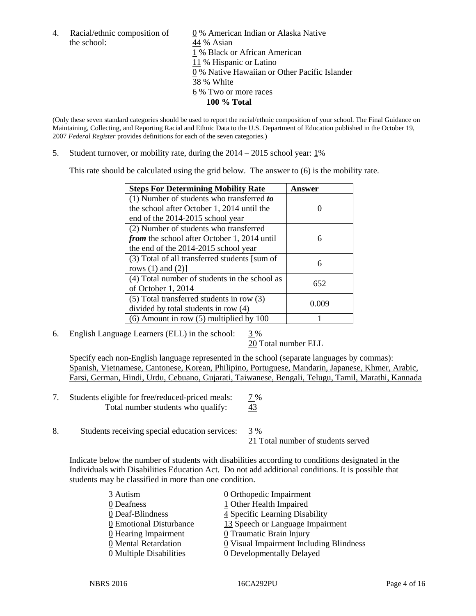the school: 44 % Asian

4. Racial/ethnic composition of  $\qquad \underline{0}$  % American Indian or Alaska Native 1 % Black or African American 11 % Hispanic or Latino 0 % Native Hawaiian or Other Pacific Islander 38 % White 6 % Two or more races **100 % Total**

(Only these seven standard categories should be used to report the racial/ethnic composition of your school. The Final Guidance on Maintaining, Collecting, and Reporting Racial and Ethnic Data to the U.S. Department of Education published in the October 19, 2007 *Federal Register* provides definitions for each of the seven categories.)

5. Student turnover, or mobility rate, during the  $2014 - 2015$  school year:  $1\%$ 

This rate should be calculated using the grid below. The answer to (6) is the mobility rate.

| <b>Steps For Determining Mobility Rate</b>    | Answer |  |
|-----------------------------------------------|--------|--|
| (1) Number of students who transferred to     |        |  |
| the school after October 1, 2014 until the    |        |  |
| end of the 2014-2015 school year              |        |  |
| (2) Number of students who transferred        |        |  |
| from the school after October 1, 2014 until   | 6      |  |
| the end of the 2014-2015 school year          |        |  |
| (3) Total of all transferred students [sum of | 6      |  |
| rows $(1)$ and $(2)$ ]                        |        |  |
| (4) Total number of students in the school as | 652    |  |
| of October 1, 2014                            |        |  |
| $(5)$ Total transferred students in row $(3)$ | 0.009  |  |
| divided by total students in row (4)          |        |  |
| $(6)$ Amount in row $(5)$ multiplied by 100   |        |  |

6. English Language Learners (ELL) in the school:  $3\%$ 

20 Total number ELL

Specify each non-English language represented in the school (separate languages by commas): Spanish, Vietnamese, Cantonese, Korean, Philipino, Portuguese, Mandarin, Japanese, Khmer, Arabic, Farsi, German, Hindi, Urdu, Cebuano, Gujarati, Taiwanese, Bengali, Telugu, Tamil, Marathi, Kannada

- 7. Students eligible for free/reduced-priced meals: 7% Total number students who qualify: 43
- 8. Students receiving special education services:  $\frac{3}{9}$  % 21 Total number of students served

Indicate below the number of students with disabilities according to conditions designated in the Individuals with Disabilities Education Act. Do not add additional conditions. It is possible that students may be classified in more than one condition.

| 3 Autism                              | $\underline{0}$ Orthopedic Impairment          |
|---------------------------------------|------------------------------------------------|
| 0 Deafness                            | 1 Other Health Impaired                        |
| 0 Deaf-Blindness                      | 4 Specific Learning Disability                 |
| 0 Emotional Disturbance               | 13 Speech or Language Impairment               |
| 0 Hearing Impairment                  | 0 Traumatic Brain Injury                       |
| 0 Mental Retardation                  | <b>0</b> Visual Impairment Including Blindness |
| $\underline{0}$ Multiple Disabilities | <b>0</b> Developmentally Delayed               |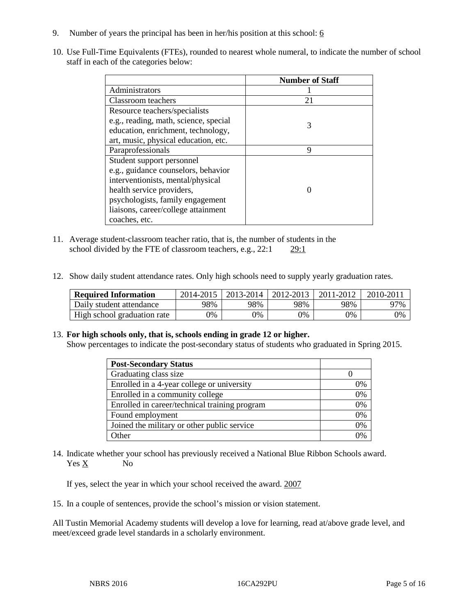- 9. Number of years the principal has been in her/his position at this school:  $6$
- 10. Use Full-Time Equivalents (FTEs), rounded to nearest whole numeral, to indicate the number of school staff in each of the categories below:

|                                       | <b>Number of Staff</b> |
|---------------------------------------|------------------------|
| Administrators                        |                        |
| Classroom teachers                    | 21                     |
| Resource teachers/specialists         |                        |
| e.g., reading, math, science, special | 3                      |
| education, enrichment, technology,    |                        |
| art, music, physical education, etc.  |                        |
| Paraprofessionals                     | 9                      |
| Student support personnel             |                        |
| e.g., guidance counselors, behavior   |                        |
| interventionists, mental/physical     |                        |
| health service providers,             |                        |
| psychologists, family engagement      |                        |
| liaisons, career/college attainment   |                        |
| coaches, etc.                         |                        |

- 11. Average student-classroom teacher ratio, that is, the number of students in the school divided by the FTE of classroom teachers, e.g., 22:1 29:1
- 12. Show daily student attendance rates. Only high schools need to supply yearly graduation rates.

| <b>Required Information</b> | 2014-2015 | $2013 - 2014$ | 2012-2013 | 2011-2012 | $2010 - 201$ |
|-----------------------------|-----------|---------------|-----------|-----------|--------------|
| Daily student attendance    | 98%       | 98%           | 98%       | 98%       | 97%          |
| High school graduation rate | 9%        | 0%            | 0%        | 9%        | 0%           |

#### 13. **For high schools only, that is, schools ending in grade 12 or higher.**

Show percentages to indicate the post-secondary status of students who graduated in Spring 2015.

| <b>Post-Secondary Status</b>                  |    |
|-----------------------------------------------|----|
| Graduating class size                         |    |
| Enrolled in a 4-year college or university    | 0% |
| Enrolled in a community college               | 0% |
| Enrolled in career/technical training program | 0% |
| Found employment                              | 0% |
| Joined the military or other public service   | 0% |
| Other                                         | 0/ |

14. Indicate whether your school has previously received a National Blue Ribbon Schools award. Yes X No

If yes, select the year in which your school received the award. 2007

15. In a couple of sentences, provide the school's mission or vision statement.

All Tustin Memorial Academy students will develop a love for learning, read at/above grade level, and meet/exceed grade level standards in a scholarly environment.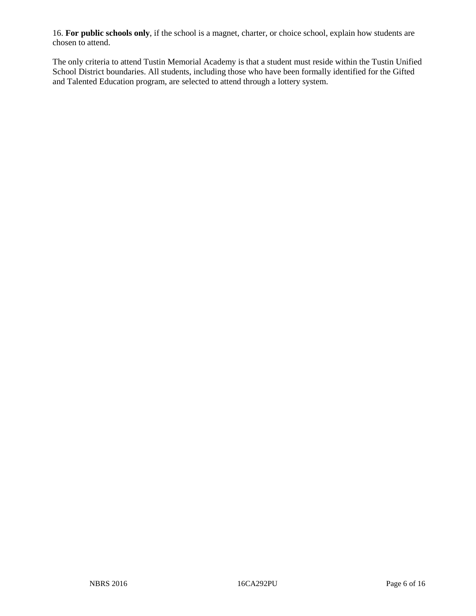16. **For public schools only**, if the school is a magnet, charter, or choice school, explain how students are chosen to attend.

The only criteria to attend Tustin Memorial Academy is that a student must reside within the Tustin Unified School District boundaries. All students, including those who have been formally identified for the Gifted and Talented Education program, are selected to attend through a lottery system.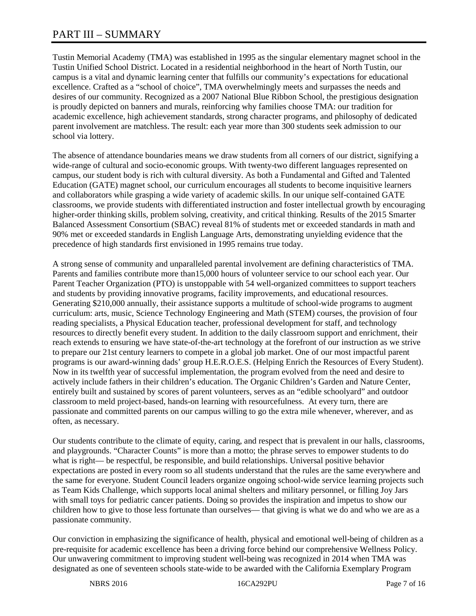# PART III – SUMMARY

Tustin Memorial Academy (TMA) was established in 1995 as the singular elementary magnet school in the Tustin Unified School District. Located in a residential neighborhood in the heart of North Tustin, our campus is a vital and dynamic learning center that fulfills our community's expectations for educational excellence. Crafted as a "school of choice", TMA overwhelmingly meets and surpasses the needs and desires of our community. Recognized as a 2007 National Blue Ribbon School, the prestigious designation is proudly depicted on banners and murals, reinforcing why families choose TMA: our tradition for academic excellence, high achievement standards, strong character programs, and philosophy of dedicated parent involvement are matchless. The result: each year more than 300 students seek admission to our school via lottery.

The absence of attendance boundaries means we draw students from all corners of our district, signifying a wide-range of cultural and socio-economic groups. With twenty-two different languages represented on campus, our student body is rich with cultural diversity. As both a Fundamental and Gifted and Talented Education (GATE) magnet school, our curriculum encourages all students to become inquisitive learners and collaborators while grasping a wide variety of academic skills. In our unique self-contained GATE classrooms, we provide students with differentiated instruction and foster intellectual growth by encouraging higher-order thinking skills, problem solving, creativity, and critical thinking. Results of the 2015 Smarter Balanced Assessment Consortium (SBAC) reveal 81% of students met or exceeded standards in math and 90% met or exceeded standards in English Language Arts, demonstrating unyielding evidence that the precedence of high standards first envisioned in 1995 remains true today.

A strong sense of community and unparalleled parental involvement are defining characteristics of TMA. Parents and families contribute more than15,000 hours of volunteer service to our school each year. Our Parent Teacher Organization (PTO) is unstoppable with 54 well-organized committees to support teachers and students by providing innovative programs, facility improvements, and educational resources. Generating \$210,000 annually, their assistance supports a multitude of school-wide programs to augment curriculum: arts, music, Science Technology Engineering and Math (STEM) courses, the provision of four reading specialists, a Physical Education teacher, professional development for staff, and technology resources to directly benefit every student. In addition to the daily classroom support and enrichment, their reach extends to ensuring we have state-of-the-art technology at the forefront of our instruction as we strive to prepare our 21st century learners to compete in a global job market. One of our most impactful parent programs is our award-winning dads' group H.E.R.O.E.S. (Helping Enrich the Resources of Every Student). Now in its twelfth year of successful implementation, the program evolved from the need and desire to actively include fathers in their children's education. The Organic Children's Garden and Nature Center, entirely built and sustained by scores of parent volunteers, serves as an "edible schoolyard" and outdoor classroom to meld project-based, hands-on learning with resourcefulness. At every turn, there are passionate and committed parents on our campus willing to go the extra mile whenever, wherever, and as often, as necessary.

Our students contribute to the climate of equity, caring, and respect that is prevalent in our halls, classrooms, and playgrounds. "Character Counts" is more than a motto; the phrase serves to empower students to do what is right— be respectful, be responsible, and build relationships. Universal positive behavior expectations are posted in every room so all students understand that the rules are the same everywhere and the same for everyone. Student Council leaders organize ongoing school-wide service learning projects such as Team Kids Challenge, which supports local animal shelters and military personnel, or filling Joy Jars with small toys for pediatric cancer patients. Doing so provides the inspiration and impetus to show our children how to give to those less fortunate than ourselves— that giving is what we do and who we are as a passionate community.

Our conviction in emphasizing the significance of health, physical and emotional well-being of children as a pre-requisite for academic excellence has been a driving force behind our comprehensive Wellness Policy. Our unwavering commitment to improving student well-being was recognized in 2014 when TMA was designated as one of seventeen schools state-wide to be awarded with the California Exemplary Program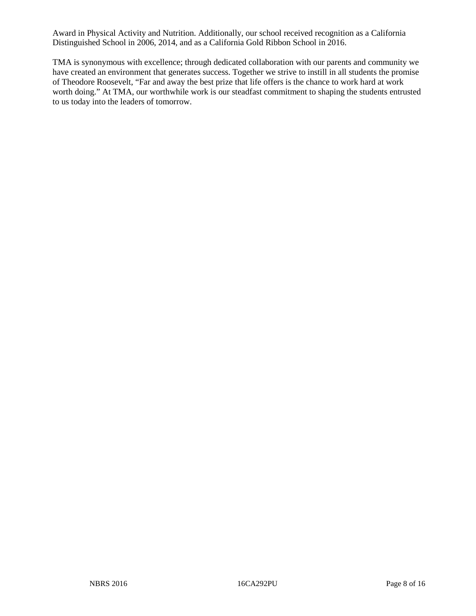Award in Physical Activity and Nutrition. Additionally, our school received recognition as a California Distinguished School in 2006, 2014, and as a California Gold Ribbon School in 2016.

TMA is synonymous with excellence; through dedicated collaboration with our parents and community we have created an environment that generates success. Together we strive to instill in all students the promise of Theodore Roosevelt, "Far and away the best prize that life offers is the chance to work hard at work worth doing." At TMA, our worthwhile work is our steadfast commitment to shaping the students entrusted to us today into the leaders of tomorrow.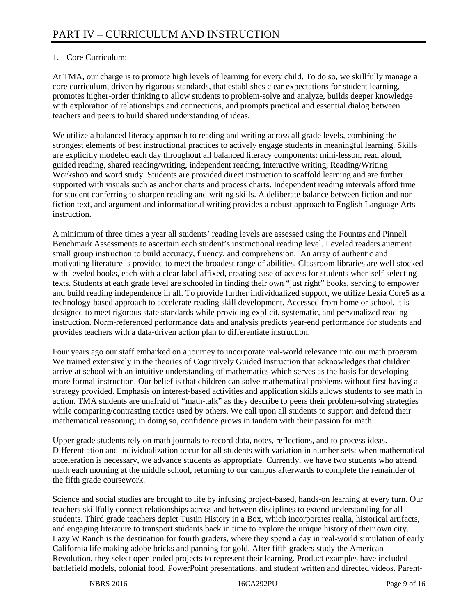# 1. Core Curriculum:

At TMA, our charge is to promote high levels of learning for every child. To do so, we skillfully manage a core curriculum, driven by rigorous standards, that establishes clear expectations for student learning, promotes higher-order thinking to allow students to problem-solve and analyze, builds deeper knowledge with exploration of relationships and connections, and prompts practical and essential dialog between teachers and peers to build shared understanding of ideas.

We utilize a balanced literacy approach to reading and writing across all grade levels, combining the strongest elements of best instructional practices to actively engage students in meaningful learning. Skills are explicitly modeled each day throughout all balanced literacy components: mini-lesson, read aloud, guided reading, shared reading/writing, independent reading, interactive writing, Reading/Writing Workshop and word study. Students are provided direct instruction to scaffold learning and are further supported with visuals such as anchor charts and process charts. Independent reading intervals afford time for student conferring to sharpen reading and writing skills. A deliberate balance between fiction and nonfiction text, and argument and informational writing provides a robust approach to English Language Arts instruction.

A minimum of three times a year all students' reading levels are assessed using the Fountas and Pinnell Benchmark Assessments to ascertain each student's instructional reading level. Leveled readers augment small group instruction to build accuracy, fluency, and comprehension. An array of authentic and motivating literature is provided to meet the broadest range of abilities. Classroom libraries are well-stocked with leveled books, each with a clear label affixed, creating ease of access for students when self-selecting texts. Students at each grade level are schooled in finding their own "just right" books, serving to empower and build reading independence in all. To provide further individualized support, we utilize Lexia Core5 as a technology-based approach to accelerate reading skill development. Accessed from home or school, it is designed to meet rigorous state standards while providing explicit, systematic, and personalized reading instruction. Norm-referenced performance data and analysis predicts year-end performance for students and provides teachers with a data-driven action plan to differentiate instruction.

Four years ago our staff embarked on a journey to incorporate real-world relevance into our math program. We trained extensively in the theories of Cognitively Guided Instruction that acknowledges that children arrive at school with an intuitive understanding of mathematics which serves as the basis for developing more formal instruction. Our belief is that children can solve mathematical problems without first having a strategy provided. Emphasis on interest-based activities and application skills allows students to see math in action. TMA students are unafraid of "math-talk" as they describe to peers their problem-solving strategies while comparing/contrasting tactics used by others. We call upon all students to support and defend their mathematical reasoning; in doing so, confidence grows in tandem with their passion for math.

Upper grade students rely on math journals to record data, notes, reflections, and to process ideas. Differentiation and individualization occur for all students with variation in number sets; when mathematical acceleration is necessary, we advance students as appropriate. Currently, we have two students who attend math each morning at the middle school, returning to our campus afterwards to complete the remainder of the fifth grade coursework.

Science and social studies are brought to life by infusing project-based, hands-on learning at every turn. Our teachers skillfully connect relationships across and between disciplines to extend understanding for all students. Third grade teachers depict Tustin History in a Box, which incorporates realia, historical artifacts, and engaging literature to transport students back in time to explore the unique history of their own city. Lazy W Ranch is the destination for fourth graders, where they spend a day in real-world simulation of early California life making adobe bricks and panning for gold. After fifth graders study the American Revolution, they select open-ended projects to represent their learning. Product examples have included battlefield models, colonial food, PowerPoint presentations, and student written and directed videos. Parent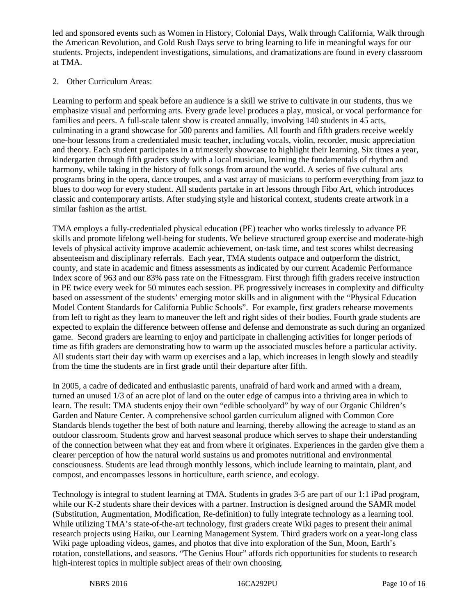led and sponsored events such as Women in History, Colonial Days, Walk through California, Walk through the American Revolution, and Gold Rush Days serve to bring learning to life in meaningful ways for our students. Projects, independent investigations, simulations, and dramatizations are found in every classroom at TMA.

# 2. Other Curriculum Areas:

Learning to perform and speak before an audience is a skill we strive to cultivate in our students, thus we emphasize visual and performing arts. Every grade level produces a play, musical, or vocal performance for families and peers. A full-scale talent show is created annually, involving 140 students in 45 acts, culminating in a grand showcase for 500 parents and families. All fourth and fifth graders receive weekly one-hour lessons from a credentialed music teacher, including vocals, violin, recorder, music appreciation and theory. Each student participates in a trimesterly showcase to highlight their learning. Six times a year, kindergarten through fifth graders study with a local musician, learning the fundamentals of rhythm and harmony, while taking in the history of folk songs from around the world. A series of five cultural arts programs bring in the opera, dance troupes, and a vast array of musicians to perform everything from jazz to blues to doo wop for every student. All students partake in art lessons through Fibo Art, which introduces classic and contemporary artists. After studying style and historical context, students create artwork in a similar fashion as the artist.

TMA employs a fully-credentialed physical education (PE) teacher who works tirelessly to advance PE skills and promote lifelong well-being for students. We believe structured group exercise and moderate-high levels of physical activity improve academic achievement, on-task time, and test scores whilst decreasing absenteeism and disciplinary referrals. Each year, TMA students outpace and outperform the district, county, and state in academic and fitness assessments as indicated by our current Academic Performance Index score of 963 and our 83% pass rate on the Fitnessgram. First through fifth graders receive instruction in PE twice every week for 50 minutes each session. PE progressively increases in complexity and difficulty based on assessment of the students' emerging motor skills and in alignment with the "Physical Education Model Content Standards for California Public Schools". For example, first graders rehearse movements from left to right as they learn to maneuver the left and right sides of their bodies. Fourth grade students are expected to explain the difference between offense and defense and demonstrate as such during an organized game. Second graders are learning to enjoy and participate in challenging activities for longer periods of time as fifth graders are demonstrating how to warm up the associated muscles before a particular activity. All students start their day with warm up exercises and a lap, which increases in length slowly and steadily from the time the students are in first grade until their departure after fifth.

In 2005, a cadre of dedicated and enthusiastic parents, unafraid of hard work and armed with a dream, turned an unused 1/3 of an acre plot of land on the outer edge of campus into a thriving area in which to learn. The result: TMA students enjoy their own "edible schoolyard" by way of our Organic Children's Garden and Nature Center. A comprehensive school garden curriculum aligned with Common Core Standards blends together the best of both nature and learning, thereby allowing the acreage to stand as an outdoor classroom. Students grow and harvest seasonal produce which serves to shape their understanding of the connection between what they eat and from where it originates. Experiences in the garden give them a clearer perception of how the natural world sustains us and promotes nutritional and environmental consciousness. Students are lead through monthly lessons, which include learning to maintain, plant, and compost, and encompasses lessons in horticulture, earth science, and ecology.

Technology is integral to student learning at TMA. Students in grades 3-5 are part of our 1:1 iPad program, while our K-2 students share their devices with a partner. Instruction is designed around the SAMR model (Substitution, Augmentation, Modification, Re-definition) to fully integrate technology as a learning tool. While utilizing TMA's state-of-the-art technology, first graders create Wiki pages to present their animal research projects using Haiku, our Learning Management System. Third graders work on a year-long class Wiki page uploading videos, games, and photos that dive into exploration of the Sun, Moon, Earth's rotation, constellations, and seasons. "The Genius Hour" affords rich opportunities for students to research high-interest topics in multiple subject areas of their own choosing.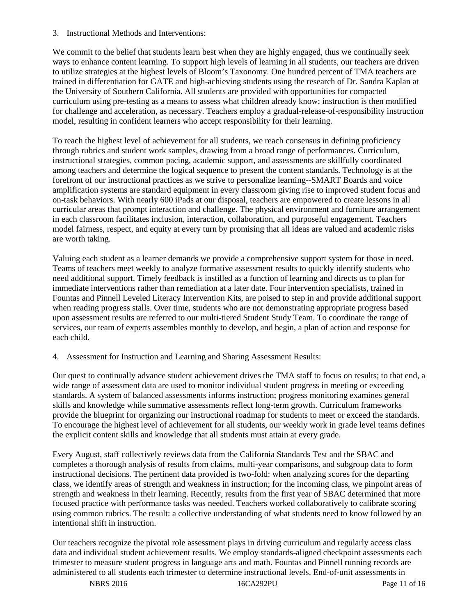3. Instructional Methods and Interventions:

We commit to the belief that students learn best when they are highly engaged, thus we continually seek ways to enhance content learning. To support high levels of learning in all students, our teachers are driven to utilize strategies at the highest levels of Bloom's Taxonomy. One hundred percent of TMA teachers are trained in differentiation for GATE and high-achieving students using the research of Dr. Sandra Kaplan at the University of Southern California. All students are provided with opportunities for compacted curriculum using pre-testing as a means to assess what children already know; instruction is then modified for challenge and acceleration, as necessary. Teachers employ a gradual-release-of-responsibility instruction model, resulting in confident learners who accept responsibility for their learning.

To reach the highest level of achievement for all students, we reach consensus in defining proficiency through rubrics and student work samples, drawing from a broad range of performances. Curriculum, instructional strategies, common pacing, academic support, and assessments are skillfully coordinated among teachers and determine the logical sequence to present the content standards. Technology is at the forefront of our instructional practices as we strive to personalize learning--SMART Boards and voice amplification systems are standard equipment in every classroom giving rise to improved student focus and on-task behaviors. With nearly 600 iPads at our disposal, teachers are empowered to create lessons in all curricular areas that prompt interaction and challenge. The physical environment and furniture arrangement in each classroom facilitates inclusion, interaction, collaboration, and purposeful engagement. Teachers model fairness, respect, and equity at every turn by promising that all ideas are valued and academic risks are worth taking.

Valuing each student as a learner demands we provide a comprehensive support system for those in need. Teams of teachers meet weekly to analyze formative assessment results to quickly identify students who need additional support. Timely feedback is instilled as a function of learning and directs us to plan for immediate interventions rather than remediation at a later date. Four intervention specialists, trained in Fountas and Pinnell Leveled Literacy Intervention Kits, are poised to step in and provide additional support when reading progress stalls. Over time, students who are not demonstrating appropriate progress based upon assessment results are referred to our multi-tiered Student Study Team. To coordinate the range of services, our team of experts assembles monthly to develop, and begin, a plan of action and response for each child.

4. Assessment for Instruction and Learning and Sharing Assessment Results:

Our quest to continually advance student achievement drives the TMA staff to focus on results; to that end, a wide range of assessment data are used to monitor individual student progress in meeting or exceeding standards. A system of balanced assessments informs instruction; progress monitoring examines general skills and knowledge while summative assessments reflect long-term growth. Curriculum frameworks provide the blueprint for organizing our instructional roadmap for students to meet or exceed the standards. To encourage the highest level of achievement for all students, our weekly work in grade level teams defines the explicit content skills and knowledge that all students must attain at every grade.

Every August, staff collectively reviews data from the California Standards Test and the SBAC and completes a thorough analysis of results from claims, multi-year comparisons, and subgroup data to form instructional decisions. The pertinent data provided is two-fold: when analyzing scores for the departing class, we identify areas of strength and weakness in instruction; for the incoming class, we pinpoint areas of strength and weakness in their learning. Recently, results from the first year of SBAC determined that more focused practice with performance tasks was needed. Teachers worked collaboratively to calibrate scoring using common rubrics. The result: a collective understanding of what students need to know followed by an intentional shift in instruction.

Our teachers recognize the pivotal role assessment plays in driving curriculum and regularly access class data and individual student achievement results. We employ standards-aligned checkpoint assessments each trimester to measure student progress in language arts and math. Fountas and Pinnell running records are administered to all students each trimester to determine instructional levels. End-of-unit assessments in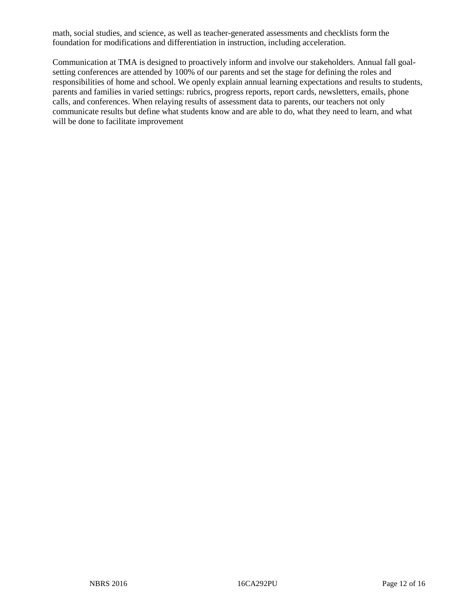math, social studies, and science, as well as teacher-generated assessments and checklists form the foundation for modifications and differentiation in instruction, including acceleration.

Communication at TMA is designed to proactively inform and involve our stakeholders. Annual fall goalsetting conferences are attended by 100% of our parents and set the stage for defining the roles and responsibilities of home and school. We openly explain annual learning expectations and results to students, parents and families in varied settings: rubrics, progress reports, report cards, newsletters, emails, phone calls, and conferences. When relaying results of assessment data to parents, our teachers not only communicate results but define what students know and are able to do, what they need to learn, and what will be done to facilitate improvement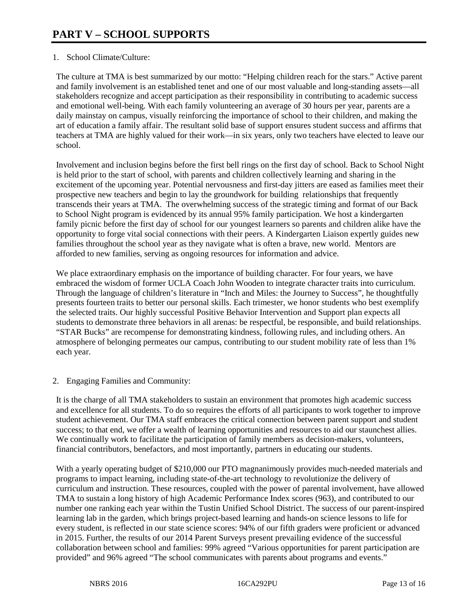# 1. School Climate/Culture:

The culture at TMA is best summarized by our motto: "Helping children reach for the stars." Active parent and family involvement is an established tenet and one of our most valuable and long-standing assets—all stakeholders recognize and accept participation as their responsibility in contributing to academic success and emotional well-being. With each family volunteering an average of 30 hours per year, parents are a daily mainstay on campus, visually reinforcing the importance of school to their children, and making the art of education a family affair. The resultant solid base of support ensures student success and affirms that teachers at TMA are highly valued for their work—in six years, only two teachers have elected to leave our school.

Involvement and inclusion begins before the first bell rings on the first day of school. Back to School Night is held prior to the start of school, with parents and children collectively learning and sharing in the excitement of the upcoming year. Potential nervousness and first-day jitters are eased as families meet their prospective new teachers and begin to lay the groundwork for building relationships that frequently transcends their years at TMA. The overwhelming success of the strategic timing and format of our Back to School Night program is evidenced by its annual 95% family participation. We host a kindergarten family picnic before the first day of school for our youngest learners so parents and children alike have the opportunity to forge vital social connections with their peers. A Kindergarten Liaison expertly guides new families throughout the school year as they navigate what is often a brave, new world. Mentors are afforded to new families, serving as ongoing resources for information and advice.

We place extraordinary emphasis on the importance of building character. For four years, we have embraced the wisdom of former UCLA Coach John Wooden to integrate character traits into curriculum. Through the language of children's literature in "Inch and Miles: the Journey to Success", he thoughtfully presents fourteen traits to better our personal skills. Each trimester, we honor students who best exemplify the selected traits. Our highly successful Positive Behavior Intervention and Support plan expects all students to demonstrate three behaviors in all arenas: be respectful, be responsible, and build relationships. "STAR Bucks" are recompense for demonstrating kindness, following rules, and including others. An atmosphere of belonging permeates our campus, contributing to our student mobility rate of less than 1% each year.

### 2. Engaging Families and Community:

It is the charge of all TMA stakeholders to sustain an environment that promotes high academic success and excellence for all students. To do so requires the efforts of all participants to work together to improve student achievement. Our TMA staff embraces the critical connection between parent support and student success; to that end, we offer a wealth of learning opportunities and resources to aid our staunchest allies. We continually work to facilitate the participation of family members as decision-makers, volunteers, financial contributors, benefactors, and most importantly, partners in educating our students.

With a yearly operating budget of \$210,000 our PTO magnanimously provides much-needed materials and programs to impact learning, including state-of-the-art technology to revolutionize the delivery of curriculum and instruction. These resources, coupled with the power of parental involvement, have allowed TMA to sustain a long history of high Academic Performance Index scores (963), and contributed to our number one ranking each year within the Tustin Unified School District. The success of our parent-inspired learning lab in the garden, which brings project-based learning and hands-on science lessons to life for every student, is reflected in our state science scores: 94% of our fifth graders were proficient or advanced in 2015. Further, the results of our 2014 Parent Surveys present prevailing evidence of the successful collaboration between school and families: 99% agreed "Various opportunities for parent participation are provided" and 96% agreed "The school communicates with parents about programs and events."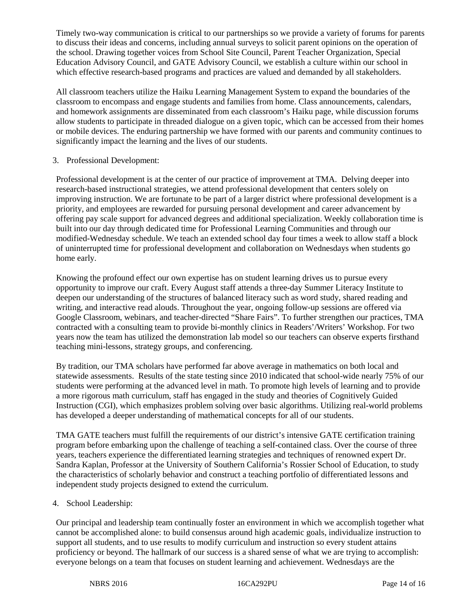Timely two-way communication is critical to our partnerships so we provide a variety of forums for parents to discuss their ideas and concerns, including annual surveys to solicit parent opinions on the operation of the school. Drawing together voices from School Site Council, Parent Teacher Organization, Special Education Advisory Council, and GATE Advisory Council, we establish a culture within our school in which effective research-based programs and practices are valued and demanded by all stakeholders.

All classroom teachers utilize the Haiku Learning Management System to expand the boundaries of the classroom to encompass and engage students and families from home. Class announcements, calendars, and homework assignments are disseminated from each classroom's Haiku page, while discussion forums allow students to participate in threaded dialogue on a given topic, which can be accessed from their homes or mobile devices. The enduring partnership we have formed with our parents and community continues to significantly impact the learning and the lives of our students.

# 3. Professional Development:

Professional development is at the center of our practice of improvement at TMA. Delving deeper into research-based instructional strategies, we attend professional development that centers solely on improving instruction. We are fortunate to be part of a larger district where professional development is a priority, and employees are rewarded for pursuing personal development and career advancement by offering pay scale support for advanced degrees and additional specialization. Weekly collaboration time is built into our day through dedicated time for Professional Learning Communities and through our modified-Wednesday schedule. We teach an extended school day four times a week to allow staff a block of uninterrupted time for professional development and collaboration on Wednesdays when students go home early.

Knowing the profound effect our own expertise has on student learning drives us to pursue every opportunity to improve our craft. Every August staff attends a three-day Summer Literacy Institute to deepen our understanding of the structures of balanced literacy such as word study, shared reading and writing, and interactive read alouds. Throughout the year, ongoing follow-up sessions are offered via Google Classroom, webinars, and teacher-directed "Share Fairs". To further strengthen our practices, TMA contracted with a consulting team to provide bi-monthly clinics in Readers'/Writers' Workshop. For two years now the team has utilized the demonstration lab model so our teachers can observe experts firsthand teaching mini-lessons, strategy groups, and conferencing.

By tradition, our TMA scholars have performed far above average in mathematics on both local and statewide assessments. Results of the state testing since 2010 indicated that school-wide nearly 75% of our students were performing at the advanced level in math. To promote high levels of learning and to provide a more rigorous math curriculum, staff has engaged in the study and theories of Cognitively Guided Instruction (CGI), which emphasizes problem solving over basic algorithms. Utilizing real-world problems has developed a deeper understanding of mathematical concepts for all of our students.

TMA GATE teachers must fulfill the requirements of our district's intensive GATE certification training program before embarking upon the challenge of teaching a self-contained class. Over the course of three years, teachers experience the differentiated learning strategies and techniques of renowned expert Dr. Sandra Kaplan, Professor at the University of Southern California's Rossier School of Education, to study the characteristics of scholarly behavior and construct a teaching portfolio of differentiated lessons and independent study projects designed to extend the curriculum.

### 4. School Leadership:

Our principal and leadership team continually foster an environment in which we accomplish together what cannot be accomplished alone: to build consensus around high academic goals, individualize instruction to support all students, and to use results to modify curriculum and instruction so every student attains proficiency or beyond. The hallmark of our success is a shared sense of what we are trying to accomplish: everyone belongs on a team that focuses on student learning and achievement. Wednesdays are the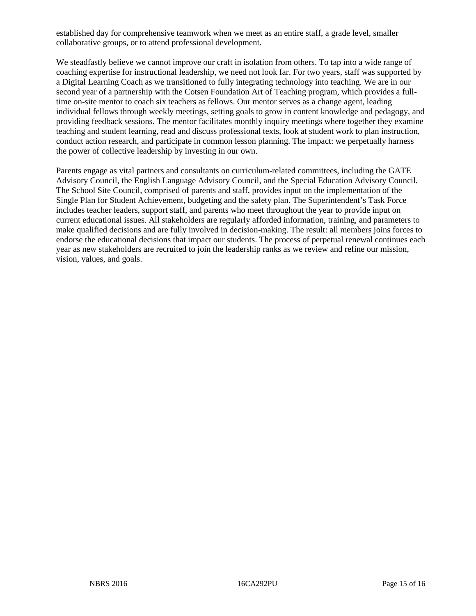established day for comprehensive teamwork when we meet as an entire staff, a grade level, smaller collaborative groups, or to attend professional development.

We steadfastly believe we cannot improve our craft in isolation from others. To tap into a wide range of coaching expertise for instructional leadership, we need not look far. For two years, staff was supported by a Digital Learning Coach as we transitioned to fully integrating technology into teaching. We are in our second year of a partnership with the Cotsen Foundation Art of Teaching program, which provides a fulltime on-site mentor to coach six teachers as fellows. Our mentor serves as a change agent, leading individual fellows through weekly meetings, setting goals to grow in content knowledge and pedagogy, and providing feedback sessions. The mentor facilitates monthly inquiry meetings where together they examine teaching and student learning, read and discuss professional texts, look at student work to plan instruction, conduct action research, and participate in common lesson planning. The impact: we perpetually harness the power of collective leadership by investing in our own.

Parents engage as vital partners and consultants on curriculum-related committees, including the GATE Advisory Council, the English Language Advisory Council, and the Special Education Advisory Council. The School Site Council, comprised of parents and staff, provides input on the implementation of the Single Plan for Student Achievement, budgeting and the safety plan. The Superintendent's Task Force includes teacher leaders, support staff, and parents who meet throughout the year to provide input on current educational issues. All stakeholders are regularly afforded information, training, and parameters to make qualified decisions and are fully involved in decision-making. The result: all members joins forces to endorse the educational decisions that impact our students. The process of perpetual renewal continues each year as new stakeholders are recruited to join the leadership ranks as we review and refine our mission, vision, values, and goals.